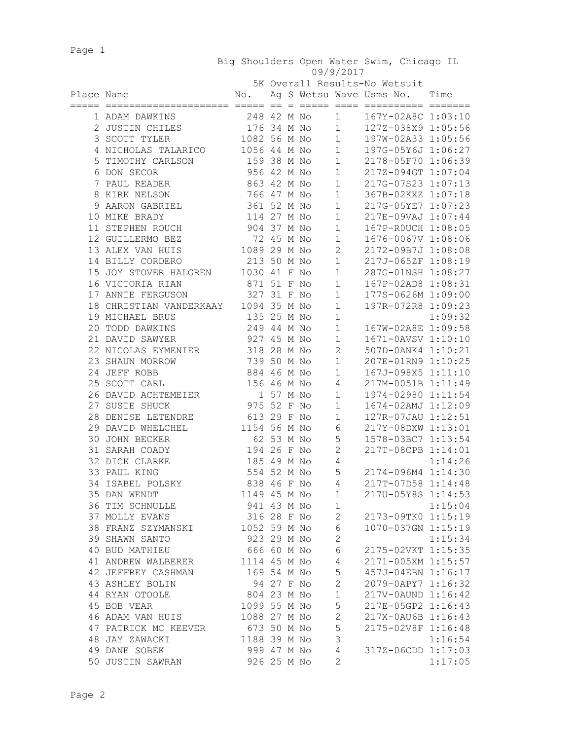Page 1

|            |                                          |                     |            |  |                | 5K Overall Results-No Wetsuit                   |         |
|------------|------------------------------------------|---------------------|------------|--|----------------|-------------------------------------------------|---------|
| Place Name | ======================                   | $\mathbb N \circ$ . |            |  |                | Ag S Wetsu Wave Usms No.<br>=========== ======= | Time    |
|            | 1 ADAM DAWKINS                           | 248 42 M No         |            |  | 1              | 167Y-02A8C 1:03:10                              |         |
|            | 2 JUSTIN CHILES                          | 176 34 M No         |            |  | $\mathbf{1}$   | 127Z-038X9 1:05:56                              |         |
|            | 3 SCOTT TYLER                            | 1082 56 M No        |            |  | $\mathbf{1}$   | 197W-02A33 1:05:56                              |         |
|            | 4 NICHOLAS TALARICO                      | 1056 44 M No        |            |  | $\mathbf{1}$   | 197G-05Y6J 1:06:27                              |         |
|            | 5 TIMOTHY CARLSON                        | 159 38 M No         |            |  | $\mathbf{1}$   | 2178-05F70 1:06:39                              |         |
|            | 6 DON SECOR                              | 956 42 M No         |            |  | $\mathbf{1}$   | 217Z-094GT 1:07:04                              |         |
|            | 7 PAUL READER                            | 863 42 M No         |            |  | $\mathbf{1}$   | 217G-07S23 1:07:13                              |         |
|            | 8 KIRK NELSON                            | 766 47 M No         |            |  | $\mathbf 1$    | 367B-02KXZ 1:07:18                              |         |
|            | 9 AARON GABRIEL                          | 361 52 M No         |            |  | $\mathbf 1$    | 217G-05YE7 1:07:23                              |         |
|            | 10 MIKE BRADY                            | 114 27 M No         |            |  | $\mathbf 1$    | 217E-09VAJ 1:07:44                              |         |
|            | 11 STEPHEN ROUCH                         | 904 37 M No         |            |  | $\mathbf 1$    | 167P-ROUCH 1:08:05                              |         |
|            | 12 GUILLERMO BEZ                         | 72 45 M No          |            |  | $\mathbf 1$    | 1676-0067V 1:08:06                              |         |
|            | 13 ALEX VAN HUIS                         | 1089 29 M No        |            |  | $\mathbf{2}$   | 2172-09B7J 1:08:08                              |         |
|            | 14 BILLY CORDERO                         | 213 50 M No         |            |  | $1\,$          | 217J-065ZF 1:08:19                              |         |
|            | 15 JOY STOVER HALGREN                    | 1030 41 F No        |            |  | $\mathbf 1$    | 287G-01NSH 1:08:27                              |         |
|            | 16 VICTORIA RIAN                         | 871 51 F No         |            |  | $\mathbf 1$    | 167P-02AD8 1:08:31                              |         |
|            | 17 ANNIE FERGUSON                        | 327 31 F No         |            |  | $\mathbf 1$    | 177S-0626M 1:09:00                              |         |
|            | 18 CHRISTIAN VANDERKAAY                  | 1094 35 M No        |            |  | $\mathbf 1$    | 197R-072R8 1:09:23                              |         |
|            | 19 MICHAEL BRUS                          | 135 25 M No         |            |  | $\mathbf 1$    |                                                 | 1:09:32 |
|            | 20 TODD DAWKINS                          | 249 44 M No         |            |  | $\mathbf 1$    | 167W-02A8E 1:09:58                              |         |
|            | 21 DAVID SAWYER                          | 927 45 M No         |            |  | $1\,$          | 1671-0AVSV 1:10:10                              |         |
|            | 22 NICOLAS EYMENIER                      | 318 28 M No         |            |  | $\mathbf{2}$   | 507D-0ANK4 1:10:21                              |         |
|            | 23 SHAUN MORROW                          | 739 50 M No         |            |  | $\mathbf 1$    | 207E-01RN9 1:10:25                              |         |
|            | 24 JEFF ROBB                             | 884 46 M No         |            |  | $\mathbf 1$    | 167J-098X5 1:11:10                              |         |
|            | 25 SCOTT CARL                            | 156 46 M No         |            |  | 4              | 217M-0051B 1:11:49                              |         |
|            | 26 DAVID ACHTEMEIER                      |                     | 1 57 M No  |  | 1              | 1974-02980 1:11:54                              |         |
|            | 27 SUSIE SHUCK                           | 975 52 F No         |            |  | $\mathbf 1$    | 1674-02AMJ 1:12:09                              |         |
|            | 28 DENISE LETENDRE                       | 613 29 F No         |            |  | $\mathbf 1$    | 127R-07JAU 1:12:51                              |         |
|            | 29 DAVID WHELCHEL                        | 1154 56 M No        |            |  | 6              | 217Y-08DXW 1:13:01                              |         |
|            | 30 JOHN BECKER                           |                     | 62 53 M No |  | 5              | 1578-03BC7 1:13:54                              |         |
|            | 31 SARAH COADY                           | 194 26 F No         |            |  | $\mathbf{2}$   | 217T-08CPB 1:14:01                              |         |
|            | 32 DICK CLARKE                           | 185 49 M No         |            |  | 4              |                                                 | 1:14:26 |
|            | 33 PAUL KING                             | 554 52 M No         |            |  | 5              | 2174-096M4 1:14:30                              |         |
|            | 34 ISABEL POLSKY                         | 838 46 F No         |            |  | $\overline{4}$ | 217T-07D58 1:14:48                              |         |
|            | 35 DAN WENDT                             | 1149 45 M No        |            |  | 1              | 217U-05Y8S 1:14:53                              |         |
|            | 36 TIM SCHNULLE                          | 941 43 M No         |            |  | 1              |                                                 | 1:15:04 |
|            | 37 MOLLY EVANS                           | 316 28 F No         |            |  | 2              | 2173-09TK0 1:15:19                              |         |
|            | 38 FRANZ SZYMANSKI                       | 1052 59 M No        |            |  | 6              | 1070-037GN 1:15:19                              |         |
|            | 39 SHAWN SANTO                           | 923 29 M No         |            |  | $\mathbf{2}$   |                                                 | 1:15:34 |
|            | 40 BUD MATHIEU                           | 666 60 M No         |            |  | $\epsilon$     | 2175-02VKT 1:15:35                              |         |
|            | 41 ANDREW WALBERER                       | 1114 45 M No        |            |  | $\sqrt{4}$     | 2171-005XM 1:15:57                              |         |
|            | 42 JEFFREY CASHMAN                       | 169 54 M No         |            |  | 5              | 457J-04EBN 1:16:17                              |         |
|            | 43 ASHLEY BOLIN                          | 94 27 F No          |            |  | $\overline{2}$ | 2079-0APY7 1:16:32                              |         |
|            | 44 RYAN OTOOLE                           | 804 23 M No         |            |  | $1\,$          | 217V-0AUND 1:16:42                              |         |
|            |                                          | 1099 55 M No        |            |  | 5              | 217E-05GP2 1:16:43                              |         |
|            | 45 BOB VEAR                              | 1088 27 M No        |            |  | $\overline{c}$ | 217X-0AU6B 1:16:43                              |         |
|            | 46 ADAM VAN HUIS<br>47 PATRICK MC KEEVER | 673 50 M No         |            |  | 5              |                                                 |         |
|            |                                          |                     |            |  | 3              | 2175-02V8F 1:16:48                              |         |
|            | 48 JAY ZAWACKI                           | 1188 39 M No        |            |  |                |                                                 | 1:16:54 |
|            | 49 DANE SOBEK                            | 999 47 M No         |            |  | $\sqrt{4}$     | 317Z-06CDD 1:17:03                              |         |
|            | 50 JUSTIN SAWRAN                         | 926 25 M No         |            |  | 2              |                                                 | 1:17:05 |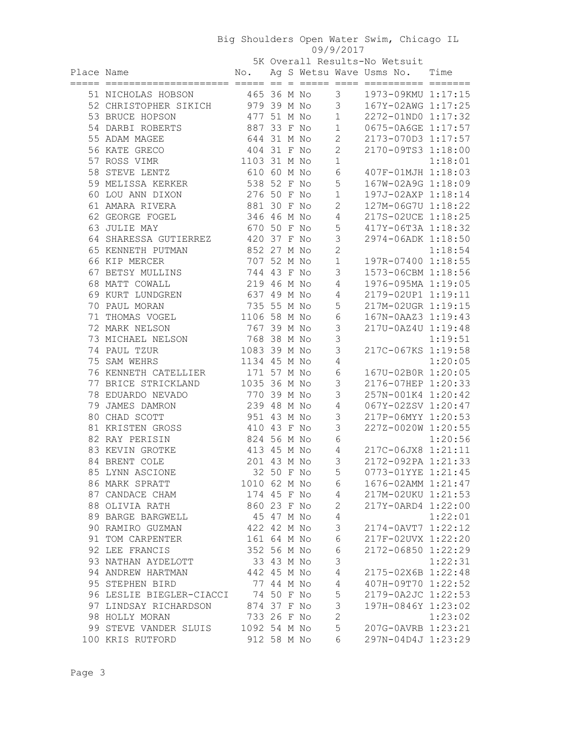|            |                       |             |  |                | 5K Overall Results-No Wetsuit |      |
|------------|-----------------------|-------------|--|----------------|-------------------------------|------|
| Place Name |                       | No.         |  |                | Ag S Wetsu Wave Usms No.      | Time |
|            |                       |             |  |                |                               |      |
|            | 51 NICHOLAS HOBSON    | 465 36 M No |  | $\mathcal{R}$  | 1973-09KMU 1:17:15            |      |
|            | 52 CHRISTOPHER SIKICH | 979 39 M No |  | $\sim$ 3       | 167Y-02AWG 1:17:25            |      |
|            | 53 BRUCE HOPSON       | 477 51 M No |  | $\overline{1}$ | 2272-01ND0 1:17:32            |      |
|            | 54 DARBI ROBERTS      | 887 33 F No |  | $\overline{1}$ | 0675-0A6GE 1:17:57            |      |
|            | 55 ADAM MAGEE         | 644 31 M No |  |                | $2173 - 070D3$ 1·17·57        |      |

| 54 DARBI ROBERTS                    | 887 33 F No  |            |  | 1              | 0675-0A6GE 1:17:57 |         |
|-------------------------------------|--------------|------------|--|----------------|--------------------|---------|
| 55 ADAM MAGEE                       | 644 31 M No  |            |  | $\mathbf{2}$   | 2173-070D3 1:17:57 |         |
| 56 KATE GRECO                       | 404 31 F No  |            |  | 2              | 2170-09TS3 1:18:00 |         |
| 57 ROSS VIMR                        | 1103 31 M No |            |  | $\mathbf 1$    |                    | 1:18:01 |
| 58 STEVE LENTZ                      | 610 60 M No  |            |  | 6              | 407F-01MJH 1:18:03 |         |
| 59 MELISSA KERKER                   | 538 52 F No  |            |  | 5              | 167W-02A9G 1:18:09 |         |
| 60 LOU ANN DIXON                    | 276 50 F No  |            |  | $\mathbf 1$    | 197J-02AXP 1:18:14 |         |
| 61 AMARA RIVERA                     | 881 30 F No  |            |  | $\mathbf{2}$   | 127M-06G7U 1:18:22 |         |
| 62 GEORGE FOGEL                     | 346 46 M No  |            |  | $\overline{4}$ | 217S-02UCE 1:18:25 |         |
| 63 JULIE MAY                        | 670 50 F No  |            |  | 5              | 417Y-06T3A 1:18:32 |         |
| 64 SHARESSA GUTIERREZ               | 420 37 F No  |            |  | 3              | 2974-06ADK 1:18:50 |         |
| 65 KENNETH PUTMAN                   | 852 27 M No  |            |  | $\overline{2}$ |                    | 1:18:54 |
| 66 KIP MERCER                       | 707 52 M No  |            |  | $1\,$          | 197R-07400 1:18:55 |         |
| 67 BETSY MULLINS                    | 744 43 F No  |            |  | 3              | 1573-06CBM 1:18:56 |         |
| 68 MATT COWALL                      | 219 46 M No  |            |  | $\overline{4}$ | 1976-095MA 1:19:05 |         |
| 69 KURT LUNDGREN                    | 637 49 M No  |            |  | $\overline{4}$ | 2179-02UP1 1:19:11 |         |
| 70 PAUL MORAN                       | 735 55 M No  |            |  | 5              | 217M-02UGR 1:19:15 |         |
| 71 THOMAS VOGEL                     | 1106 58 M No |            |  | $\sqrt{6}$     | 167N-0AAZ3 1:19:43 |         |
| 72 MARK NELSON                      | 767 39 M No  |            |  | $\mathsf 3$    | 217U-0AZ4U 1:19:48 |         |
| 73 MICHAEL NELSON                   | 768 38 M No  |            |  | $\mathfrak{Z}$ |                    | 1:19:51 |
| 74 PAUL TZUR                        | 1083 39 M No |            |  | 3              | 217C-067KS 1:19:58 |         |
| 75 SAM WEHRS                        | 1134 45 M No |            |  | $\overline{4}$ |                    | 1:20:05 |
| 76 KENNETH CATELLIER                | 171 57 M No  |            |  | 6              | 167U-02B0R 1:20:05 |         |
| 77 BRICE STRICKLAND                 | 1035 36 M No |            |  | 3              | 2176-07HEP 1:20:33 |         |
| 78 EDUARDO NEVADO                   | 770 39 M No  |            |  | 3              | 257N-001K4 1:20:42 |         |
| 79 JAMES DAMRON                     | 239 48 M No  |            |  | 4              | 067Y-02ZSV 1:20:47 |         |
| 80 CHAD SCOTT                       | 951 43 M No  |            |  | 3              | 217P-06MYY 1:20:53 |         |
| 81 KRISTEN GROSS                    | 410 43 F No  |            |  | 3              | 227Z-0020W 1:20:55 |         |
| 82 RAY PERISIN                      | 824 56 M No  |            |  | 6              |                    | 1:20:56 |
| 83 KEVIN GROTKE                     | 413 45 M No  |            |  | 4              | 217C-06JX8 1:21:11 |         |
| 84 BRENT COLE                       | 201 43 M No  |            |  | 3              | 2172-092PA 1:21:33 |         |
| 85 LYNN ASCIONE                     |              | 32 50 F No |  | 5              | 0773-01YYE 1:21:45 |         |
| 86 MARK SPRATT                      | 1010 62 M No |            |  | 6              | 1676-02AMM 1:21:47 |         |
| 87 CANDACE CHAM                     | 174 45 F No  |            |  | 4              | 217M-02UKU 1:21:53 |         |
| 88 OLIVIA RATH                      | 860 23 F No  |            |  | $\mathbf{2}$   | 217Y-0ARD4 1:22:00 |         |
| 89 BARGE BARGWELL                   | 45 47 M No   |            |  | $\overline{4}$ |                    | 1:22:01 |
| 90 RAMIRO GUZMAN                    | 422 42 M No  |            |  | $\mathcal{S}$  | 2174-0AVT7 1:22:12 |         |
| 91 TOM CARPENTER                    |              |            |  | 161 64 M No 6  | 217F-02UVX 1:22:20 |         |
| 92 LEE FRANCIS                      | 352 56 M No  |            |  | 6              | 2172-06850 1:22:29 |         |
| 93 NATHAN AYDELOTT                  | 33 43 M No   |            |  | 3              |                    | 1:22:31 |
| 94 ANDREW HARTMAN 442 45 M No       |              |            |  | $\overline{4}$ | 2175-02X6B 1:22:48 |         |
| 95 STEPHEN BIRD                     | 77 44 M No   |            |  | $\overline{4}$ | 407H-09T70 1:22:52 |         |
| 96 LESLIE BIEGLER-CIACCI 74 50 F No |              |            |  | $\mathsf S$    | 2179-0A2JC 1:22:53 |         |
| 97 LINDSAY RICHARDSON               | 874 37 F No  |            |  | $\mathsf 3$    | 197H-0846Y 1:23:02 |         |
| 98 HOLLY MORAN                      | 733 26 F No  |            |  | $\mathbf{2}$   |                    | 1:23:02 |
| 99 STEVE VANDER SLUIS 1092 54 M No  |              |            |  | 5              | 207G-0AVRB 1:23:21 |         |
| 100 KRIS RUTFORD                    | 912 58 M No  |            |  | 6              | 297N-04D4J 1:23:29 |         |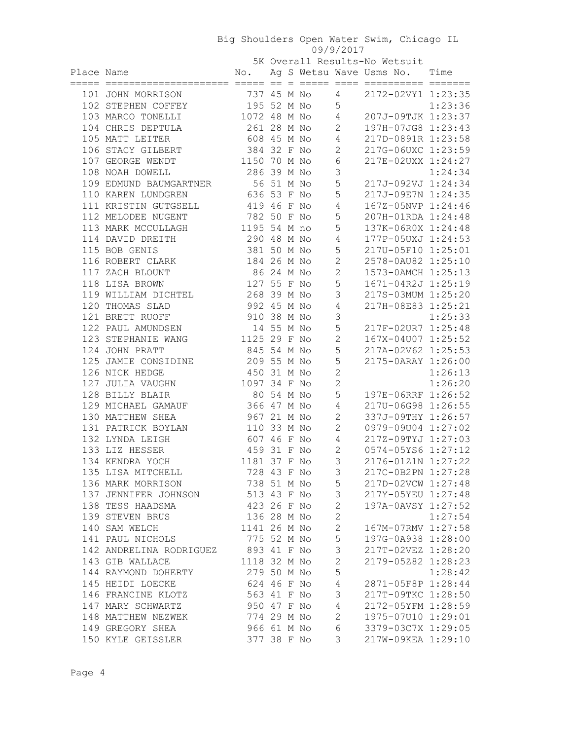|            |                         |                            |            |  |                | 5K Overall Results-No Wetsuit     |         |
|------------|-------------------------|----------------------------|------------|--|----------------|-----------------------------------|---------|
| Place Name |                         |                            |            |  |                | No. Ag S Wetsu Wave Usms No. Time |         |
|            |                         |                            |            |  |                |                                   |         |
|            | 101 JOHN MORRISON       | 737 45 M No                |            |  | 4              | 2172-02VY1 1:23:35                |         |
|            | 102 STEPHEN COFFEY      | 195 52 M No                |            |  | 5              |                                   | 1:23:36 |
|            | 103 MARCO TONELLI       | 1072 48 M No               |            |  | 4              | 207J-09TJK 1:23:37                |         |
|            | 104 CHRIS DEPTULA       | 261 28 M No                |            |  | $\mathbf{2}$   | 197H-07JG8 1:23:43                |         |
|            | 105 MATT LEITER         | 608 45 M No                |            |  | 4              | 217D-0891R 1:23:58                |         |
|            | 106 STACY GILBERT       | 384 32 F No                |            |  | 2              | 217G-06UXC 1:23:59                |         |
|            | 107 GEORGE WENDT        | 1150 70 M No               |            |  | 6              | 217E-02UXX 1:24:27                |         |
|            | 108 NOAH DOWELL         | 286 39 M No                |            |  | 3              |                                   | 1:24:34 |
|            | 109 EDMUND BAUMGARTNER  | 56 51 M No                 |            |  | 5              | 217J-092VJ 1:24:34                |         |
|            | 110 KAREN LUNDGREN      | 636 53 F No                |            |  | 5              | 217J-09E7N 1:24:35                |         |
|            | 111 KRISTIN GUTGSELL    | 419 46 F No                |            |  | 4              | 167Z-05NVP 1:24:46                |         |
|            | 112 MELODEE NUGENT      | 782 50 F No                |            |  | 5              | 207H-01RDA 1:24:48                |         |
|            | 113 MARK MCCULLAGH      | 1195 54 M no               |            |  | 5              | 137K-06R0X 1:24:48                |         |
|            | 114 DAVID DREITH        | 290 48 M No                |            |  | 4              | 177P-05UXJ 1:24:53                |         |
|            | 115 BOB GENIS           | 381 50 M No                |            |  | 5              | 217U-05F10 1:25:01                |         |
|            | 116 ROBERT CLARK        | 184 26 M No                |            |  | $\mathbf{2}$   | 2578-0AU82 1:25:10                |         |
|            | 117 ZACH BLOUNT         | 86 24 M No                 |            |  | $\mathbf{2}$   | 1573-0AMCH 1:25:13                |         |
|            | 118 LISA BROWN          | 127 55 F No                |            |  | 5              | 1671-04R2J 1:25:19                |         |
|            | 119 WILLIAM DICHTEL     | 268 39 M No                |            |  | 3              | 217S-03MUM 1:25:20                |         |
|            | 120 THOMAS SLAD         | 992 45 M No                |            |  | 4              | 217H-08E83 1:25:21                |         |
|            | 121 BRETT RUOFF         | 910 38 M No                |            |  | 3              |                                   | 1:25:33 |
|            | 122 PAUL AMUNDSEN       |                            | 14 55 M No |  | 5              | 217F-02UR7 1:25:48                |         |
|            | 123 STEPHANIE WANG      | 1125 29 F No               |            |  | $\mathbf{2}$   | 167X-04U07 1:25:52                |         |
|            | 124 JOHN PRATT          | 845 54 M No                |            |  | 5              | 217A-02V62 1:25:53                |         |
|            | 125 JAMIE CONSIDINE     | 209 55 M No                |            |  | 5              | 2175-0ARAY 1:26:00                |         |
|            | 126 NICK HEDGE          | 450 31 M No                |            |  | $\mathbf{2}$   |                                   | 1:26:13 |
|            | 127 JULIA VAUGHN        | 1097 34 F No               |            |  | $\mathbf{2}$   |                                   | 1:26:20 |
|            | 128 BILLY BLAIR         | 80 54 M No                 |            |  | 5              | 197E-06RRF 1:26:52                |         |
|            | 129 MICHAEL GAMAUF      | 366 47 M No                |            |  | 4              | 217U-06G98 1:26:55                |         |
|            | 130 MATTHEW SHEA        | 967 21 M No                |            |  | 2              | 337J-09THY 1:26:57                |         |
|            | 131 PATRICK BOYLAN      | 110 33 M No                |            |  | 2              | 0979-09U04 1:27:02                |         |
|            | 132 LYNDA LEIGH         | 607 46 F No                |            |  | 4              | 217Z-09TYJ 1:27:03                |         |
|            | 133 LIZ HESSER          | 459 31 F No                |            |  | $\mathbf{2}$   | 0574-05YS6 1:27:12                |         |
|            | 134 KENDRA YOCH         | 1181 37 F No               |            |  | 3              | 2176-01Z1N 1:27:22                |         |
|            | 135 LISA MITCHELL       | 728 43 F No                |            |  | 3              | 217C-0B2PN 1:27:28                |         |
|            | 136 MARK MORRISON       |                            |            |  | 5              | 217D-02VCW 1:27:48                |         |
|            | 137 JENNIFER JOHNSON    | 738 51 M No<br>513 43 F No |            |  | 3              |                                   |         |
|            | 138 TESS HAADSMA        | 423 26 F No                |            |  |                | 217Y-05YEU 1:27:48                |         |
|            |                         |                            |            |  | $\mathbf{2}$   | 197A-0AVSY 1:27:52                |         |
|            | 139 STEVEN BRUS         | 136 28 M No                |            |  | $\mathbf{2}$   |                                   | 1:27:54 |
|            | 140 SAM WELCH           | 1141 26 M No               |            |  | $\mathbf{2}$   | 167M-07RMV 1:27:58                |         |
|            | 141 PAUL NICHOLS        | 775 52 M No                |            |  | 5              | 197G-0A938 1:28:00                |         |
|            | 142 ANDRELINA RODRIGUEZ | 893 41 F No                |            |  | $\mathsf 3$    | 217T-02VEZ 1:28:20                |         |
|            | 143 GIB WALLACE         | 1118 32 M No               |            |  | $\mathbf{2}$   | 2179-05Z82 1:28:23                |         |
|            | 144 RAYMOND DOHERTY     | 279 50 M No                |            |  | 5              |                                   | 1:28:42 |
|            | 145 HEIDI LOECKE        | 624 46 F No                |            |  | $\overline{4}$ | 2871-05F8P 1:28:44                |         |
|            | 146 FRANCINE KLOTZ      | 563 41 F No                |            |  | 3              | 217T-09TKC 1:28:50                |         |
|            | 147 MARY SCHWARTZ       | 950 47 F No                |            |  | $\overline{4}$ | 2172-05YFM 1:28:59                |         |
|            | 148 MATTHEW NEZWEK      | 774 29 M No                |            |  | $\overline{2}$ | 1975-07U10 1:29:01                |         |
|            | 149 GREGORY SHEA        | 966 61 M No                |            |  | $\epsilon$     | 3379-03C7X 1:29:05                |         |
|            | 150 KYLE GEISSLER       | 377 38 F No                |            |  | 3              | 217W-09KEA 1:29:10                |         |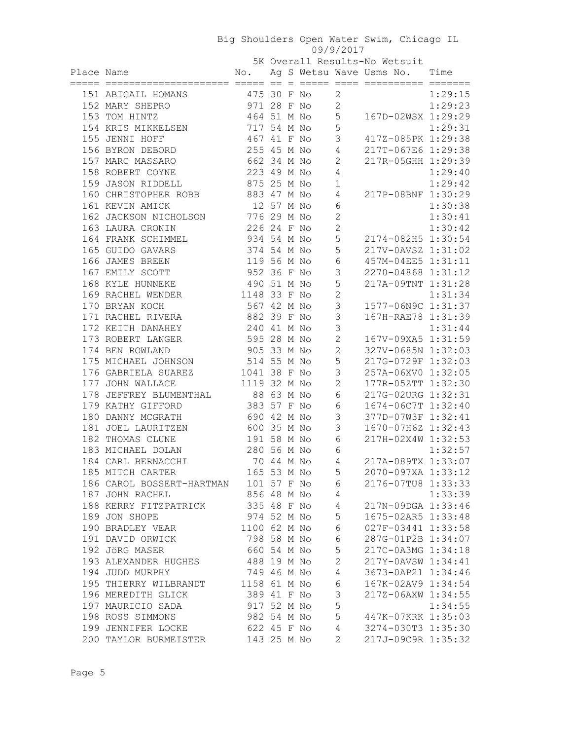5K Overall Results-No Wetsuit

| Place Name |                                                                                                                                                                                         |                            |  |                |                  | No. Ag S Wetsu Wave Usms No. Time |         |
|------------|-----------------------------------------------------------------------------------------------------------------------------------------------------------------------------------------|----------------------------|--|----------------|------------------|-----------------------------------|---------|
|            | 151 ABIGAIL HOMANS 475 30 F No                                                                                                                                                          |                            |  |                | $\overline{2}$   |                                   | 1:29:15 |
|            | 971 28 F No<br>152 MARY SHEPRO                                                                                                                                                          |                            |  |                | $\overline{2}$   |                                   | 1:29:23 |
|            | 153 TOM HINTZ                                                                                                                                                                           | 464 51 M No                |  |                |                  | 5 167D-02WSX 1:29:29              |         |
|            | 154 KRIS MIKKELSEN 717 54 M No                                                                                                                                                          |                            |  |                | 5                |                                   | 1:29:31 |
|            | 155 JENNI HOFF                                                                                                                                                                          | 467 41 F No                |  |                | 3                | 417Z-085PK 1:29:38                |         |
|            | 156 BYRON DEBORD                                                                                                                                                                        | 255 45 M No                |  |                | 4                | 217T-067E6 1:29:38                |         |
|            | 157 MARC MASSARO                                                                                                                                                                        | 662 34 M No                |  |                | $\overline{c}$   | 217R-05GHH 1:29:39                |         |
|            | 158 ROBERT COYNE                                                                                                                                                                        | 223 49 M No                |  |                | 4                |                                   | 1:29:40 |
|            | 159 JASON RIDDELL                                                                                                                                                                       | 875 25 M No                |  |                | $\mathbf 1$      |                                   | 1:29:42 |
|            | 160 CHRISTOPHER ROBB 883 47 M No                                                                                                                                                        |                            |  |                | 4                | 217P-08BNF 1:30:29                |         |
|            | 161 KEVIN AMICK                                                                                                                                                                         | 12 57 M No                 |  |                | 6                |                                   | 1:30:38 |
|            | 162 JACKSON NICHOLSON 776 29 M No                                                                                                                                                       |                            |  |                | $\overline{c}$   |                                   | 1:30:41 |
|            | 163 LAURA CRONIN                                                                                                                                                                        | 226 24 F No                |  |                | $\overline{c}$   |                                   | 1:30:42 |
|            | 164 FRANK SCHIMMEL                                                                                                                                                                      | 934 54 M No                |  |                | 5                | 2174-082H5 1:30:54                |         |
|            | 165 GUIDO GAVARS                                                                                                                                                                        | 374 54 M No                |  |                | 5                | 217V-0AVSZ 1:31:02                |         |
|            | 166 JAMES BREEN                                                                                                                                                                         | 119 56 M No                |  |                | 6                | 457M-04EE5 1:31:11                |         |
|            | 167 EMILY SCOTT                                                                                                                                                                         | 952 36 F No                |  |                | 3                | 2270-04868 1:31:12                |         |
|            | 168 KYLE HUNNEKE                                                                                                                                                                        | 490 51 M No                |  |                | 5                | 217A-09TNT 1:31:28                |         |
|            | 169 RACHEL WENDER                                                                                                                                                                       | 1148 33 F No               |  |                | $\overline{c}$   |                                   | 1:31:34 |
|            | 170 BRYAN KOCH                                                                                                                                                                          | 567 42 M No                |  |                | 3                | 1577-06N9C 1:31:37                |         |
|            | 171 RACHEL RIVERA                                                                                                                                                                       | 882 39 F No                |  |                | 3                | 167H-RAE78 1:31:39                |         |
|            | 172 KEITH DANAHEY                                                                                                                                                                       | 240 41 M No                |  |                | 3                |                                   | 1:31:44 |
|            | 173 ROBERT LANGER                                                                                                                                                                       | 595 28 M No                |  |                | $\overline{2}$   | 167V-09XA5 1:31:59                |         |
|            | 174 BEN ROWLAND                                                                                                                                                                         | 905 33 M No                |  |                | $\overline{c}$   | 327V-0685N 1:32:03                |         |
|            |                                                                                                                                                                                         |                            |  |                | 5                | 217G-0729F 1:32:03                |         |
|            |                                                                                                                                                                                         |                            |  |                | 3                | 257A-06XV0 1:32:05                |         |
|            |                                                                                                                                                                                         |                            |  |                | $\mathbf{2}$     | 177R-05ZTT 1:32:30                |         |
|            | EXECUTE 100 MM CONTRACT 1041 38 F No<br>176 GABRIELA SUAREZ<br>177 JOHN WALLACE 1119 32 M No<br>178 JEFFREY BLUMENTHAL 88 63 M No<br>179 KATHY GIFFORD 383 57 F M-<br>180 DANNY MOSTITI |                            |  |                | 6                | 217G-02URG 1:32:31                |         |
|            |                                                                                                                                                                                         | 383 57 F No<br>590 42 M No |  |                | $\epsilon$       | 1674-06C7T 1:32:40                |         |
|            | 180 DANNY MCGRATH                                                                                                                                                                       |                            |  |                | $\mathsf 3$      | 377D-07W3F 1:32:41                |         |
|            | 181 JOEL LAURITZEN                                                                                                                                                                      | 600 35 M No                |  |                | 3                | 1670-07H6Z 1:32:43                |         |
|            | 182 THOMAS CLUNE                                                                                                                                                                        | 191 58 M No                |  |                | $\sqrt{6}$       | 217H-02X4W 1:32:53                |         |
|            | 183 MICHAEL DOLAN                                                                                                                                                                       | 280 56 M No                |  |                | $\sqrt{6}$       |                                   | 1:32:57 |
|            | 184 CARL BERNACCHI 184 M No<br>185 MITCH CARTER 165 53 M No                                                                                                                             |                            |  |                | $\overline{4}$   | 217A-089TX 1:33:07                |         |
|            |                                                                                                                                                                                         |                            |  | $\overline{5}$ |                  | 2070-097XA 1:33:12                |         |
|            | 186 CAROL BOSSERT-HARTMAN 101 57 F No 6                                                                                                                                                 |                            |  |                |                  | 2176-07TU8 1:33:33                |         |
|            | 187 JOHN RACHEL                                                                                                                                                                         | 856 48 M No                |  |                | 4                |                                   | 1:33:39 |
|            | 188 KERRY FITZPATRICK 335 48 F No                                                                                                                                                       |                            |  |                | $4\overline{ }$  | 217N-09DGA 1:33:46                |         |
|            | 189 JON SHOPE                                                                                                                                                                           | 974 52 M No                |  |                | $5\phantom{.0}$  | 1675-02AR5 1:33:48                |         |
|            | 190 BRADLEY VEAR                                                                                                                                                                        | 1100 62 M No               |  |                | $6\overline{6}$  | 027F-03441 1:33:58                |         |
|            | 191 DAVID ORWICK                                                                                                                                                                        | 798 58 M No                |  |                | 6                | 287G-01P2B 1:34:07                |         |
|            | 192 JÖRG MASER                                                                                                                                                                          | 660 54 M No                |  |                | 5                | 217C-0A3MG 1:34:18                |         |
|            | 193 ALEXANDER HUGHES 488 19 M No                                                                                                                                                        |                            |  |                | 2                | 217Y-0AVSW 1:34:41                |         |
|            | 194 JUDD MURPHY                                                                                                                                                                         | 749 46 M No                |  |                | $\overline{4}$   | 3673-0AP21 1:34:46                |         |
|            | 195 THIERRY WILBRANDT 1158 61 M No                                                                                                                                                      |                            |  |                | 6                | 167K-02AV9 1:34:54                |         |
|            | 196 MEREDITH GLICK                                                                                                                                                                      | 389 41 F No                |  |                | 3                | 217Z-06AXW 1:34:55                |         |
|            | 197 MAURICIO SADA                                                                                                                                                                       | 917 52 M No                |  |                | 5                |                                   | 1:34:55 |
|            | 198 ROSS SIMMONS                                                                                                                                                                        | 982 54 M No                |  |                | 5                | 447K-07KRK 1:35:03                |         |
|            | 199 JENNIFER LOCKE 622 45 F No                                                                                                                                                          |                            |  |                | $4\overline{4}$  | 3274-030T3 1:35:30                |         |
|            | 200 TAYLOR BURMEISTER 143 25 M No                                                                                                                                                       |                            |  |                | $2 \overline{2}$ | 217J-09C9R 1:35:32                |         |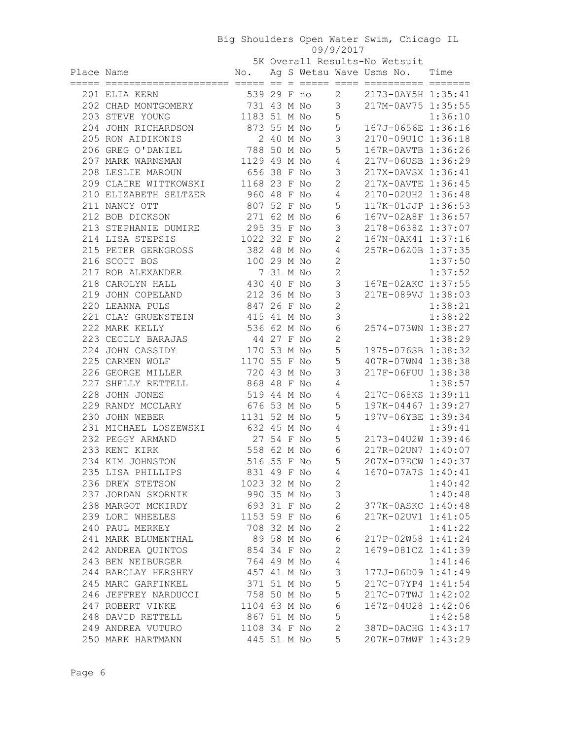5K Overall Results-No Wetsuit

| Place Name |                                      |                             |  |                | No. Ag S Wetsu Wave Usms No. Time        |         |
|------------|--------------------------------------|-----------------------------|--|----------------|------------------------------------------|---------|
|            | 201 ELIA KERN                        |                             |  |                | 539 29 F no 2 2173-0AY5H 1:35:41         |         |
|            | 202 CHAD MONTGOMERY 731 43 M No 3    |                             |  |                | 217M-0AV75 1:35:55                       |         |
|            | 203 STEVE YOUNG                      | 1183 51 M No                |  | 5              |                                          | 1:36:10 |
|            | 204 JOHN RICHARDSON                  | 873 55 M No                 |  | 5              | 167J-0656E 1:36:16                       |         |
|            | 205 RON AIDIKONIS                    | 2 40 M No                   |  | $\mathcal{S}$  | 2170-09U1C 1:36:18                       |         |
|            | 206 GREG O'DANIEL                    | 788 50 M No                 |  | 5              | 167R-0AVTB 1:36:26                       |         |
|            | 207 MARK WARNSMAN 1129 49 M No       |                             |  | 4              | 217V-06USB 1:36:29                       |         |
|            | 208 LESLIE MAROUN                    | 656 38 F No                 |  | $\mathcal{S}$  | 217X-0AVSX 1:36:41                       |         |
|            | 209 CLAIRE WITTKOWSKI 1168 23 F No   |                             |  | $\overline{2}$ | 217X-0AVTE 1:36:45                       |         |
|            | 210 ELIZABETH SELTZER                | 960 48 F No                 |  | $\overline{4}$ | 2170-02UH2 1:36:48                       |         |
|            | 211 NANCY OTT                        | 807 52 F No                 |  | 5              | 117K-01JJP 1:36:53                       |         |
|            | 212 BOB DICKSON                      | 271 62 M No                 |  | $6\,$          | 167V-02A8F 1:36:57                       |         |
|            | 213 STEPHANIE DUMIRE 295 35 F No     |                             |  | 3              | 2178-0638Z 1:37:07                       |         |
|            | 214 LISA STEPSIS                     | 1022 32 F No                |  | $\overline{2}$ | 167N-0AK41 1:37:16                       |         |
|            | 215 PETER GERNGROSS 382 48 M No      |                             |  | 4              | 257R-06Z0B 1:37:35                       |         |
|            | 216 SCOTT BOS                        | 100 29 M No                 |  | $\mathbf{2}$   |                                          | 1:37:50 |
|            | 217 ROB ALEXANDER                    | 7 31 M No                   |  | $\mathbf{2}$   |                                          | 1:37:52 |
|            | 218 CAROLYN HALL                     | 430 40 F No                 |  | $\mathcal{S}$  | 167E-02AKC 1:37:55                       |         |
|            | 219 JOHN COPELAND                    | 212 36 M No                 |  | $\mathsf 3$    | 217E-089VJ 1:38:03                       |         |
|            | 220 LEANNA PULS                      | 847 26 F No                 |  | $\overline{c}$ |                                          | 1:38:21 |
|            | 221 CLAY GRUENSTEIN                  | 415 41 M No                 |  | 3              |                                          | 1:38:22 |
|            | 222 MARK KELLY                       | 536 62 M No                 |  | $\sqrt{6}$     | 2574-073WN 1:38:27                       |         |
|            | 223 CECILY BARAJAS                   | 44 27 F No                  |  | $\mathbf{2}$   |                                          | 1:38:29 |
|            | 224 JOHN CASSIDY                     | 170 53 M No                 |  | 5<br>5         | 1975-076SB 1:38:32                       |         |
|            | 225 CARMEN WOLF<br>226 GEORGE MILLER | 1170 55 F No<br>720 43 M No |  | 3              | 407R-07WN4 1:38:38<br>217F-06FUU 1:38:38 |         |
|            | 227 SHELLY RETTELL                   | 868 48 F No                 |  | 4              |                                          | 1:38:57 |
|            | 228 JOHN JONES                       | 519 44 M No                 |  | 4              | 217C-068KS 1:39:11                       |         |
|            | 229 RANDY MCCLARY                    | 676 53 M No                 |  | 5              | 197K-04467 1:39:27                       |         |
|            | 230 JOHN WEBER                       | 1131 52 M No                |  | 5              | 197V-06YBE 1:39:34                       |         |
|            | 231 MICHAEL LOSZEWSKI 632 45 M No    |                             |  | 4              |                                          | 1:39:41 |
|            | 232 PEGGY ARMAND                     | 27 54 F No                  |  | 5              | 2173-04U2W 1:39:46                       |         |
|            | 233 KENT KIRK                        | 558 62 M No                 |  | 6              | 217R-02UN7 1:40:07                       |         |
|            | 234 KIM JOHNSTON                     | 516 55 F No                 |  | 5              | 207X-07ECW 1:40:37                       |         |
|            | 235 LISA PHILLIPS                    | 831 49 F No                 |  | $\overline{4}$ | 1670-07A7S 1:40:41                       |         |
|            | 236 DREW STETSON                     | 1023 32 M No                |  | $\overline{c}$ |                                          | 1:40:42 |
|            | 237 JORDAN SKORNIK                   | 990 35 M No                 |  | $\mathcal{S}$  |                                          | 1:40:48 |
|            | 238 MARGOT MCKIRDY                   | 693 31 F No                 |  | $\mathbf{2}$   | 377K-0ASKC 1:40:48                       |         |
|            | 239 LORI WHEELES                     | 1153 59 F No                |  | $\sqrt{6}$     | 217K-02UV1 1:41:05                       |         |
|            | 240 PAUL MERKEY                      | 708 32 M No                 |  | $\mathbf{2}$   |                                          | 1:41:22 |
|            | 241 MARK BLUMENTHAL                  | 89 58 M No                  |  | $\sqrt{6}$     | 217P-02W58 1:41:24                       |         |
|            | 242 ANDREA QUINTOS                   | 854 34 F No                 |  | $\mathbf 2$    | 1679-081CZ 1:41:39                       |         |
|            | 243 BEN NEIBURGER                    | 764 49 M No                 |  | $\sqrt{4}$     |                                          | 1:41:46 |
|            | 244 BARCLAY HERSHEY                  | 457 41 M No                 |  | $\mathfrak{Z}$ | 177J-06D09 1:41:49                       |         |
|            | 245 MARC GARFINKEL                   | 371 51 M No                 |  | 5              | 217C-07YP4 1:41:54                       |         |
|            | 246 JEFFREY NARDUCCI                 | 758 50 M No                 |  | 5              | 217C-07TWJ 1:42:02                       |         |
|            | 247 ROBERT VINKE                     | 1104 63 M No                |  | $\epsilon$     | 167Z-04U28 1:42:06                       |         |
|            | 248 DAVID RETTELL                    | 867 51 M No                 |  | 5              |                                          | 1:42:58 |
|            | 249 ANDREA VUTURO                    | 1108 34 F No                |  | $\mathbf{2}$   | 387D-0ACHG 1:43:17                       |         |
|            | 250 MARK HARTMANN                    | 445 51 M No                 |  | 5              | 207K-07MWF 1:43:29                       |         |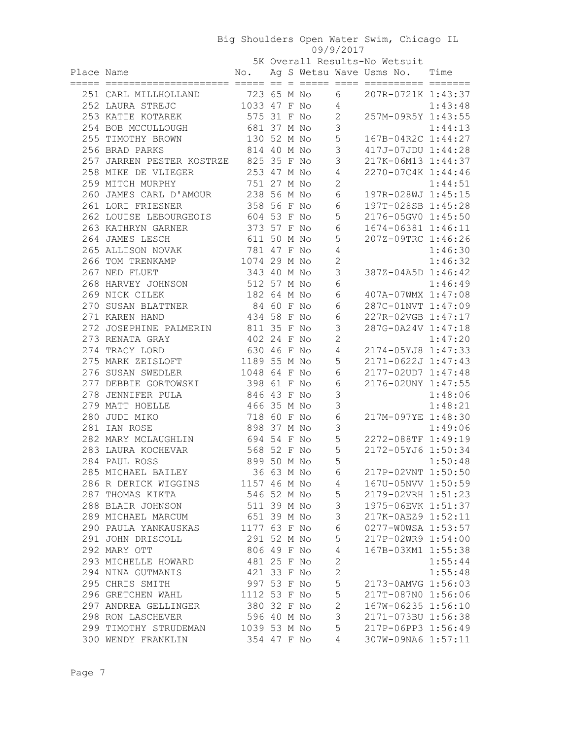5K Overall Results-No Wetsuit

| Place Name                                                           |              |  |                          |                 | No. Ag S Wetsu Wave Usms No. Time |         |
|----------------------------------------------------------------------|--------------|--|--------------------------|-----------------|-----------------------------------|---------|
| 251 CARL MILLHOLLAND 723 65 M No                                     |              |  |                          |                 | 6 207R-0721K 1:43:37              |         |
| 252 LAURA STREJC 1033 47 F No 4                                      |              |  |                          |                 |                                   | 1:43:48 |
| 253 KATIE KOTAREK 575 31 F No                                        |              |  |                          |                 | $2 257M-09R5Y 1:43:55$            |         |
| 254 BOB MCCULLOUGH 681 37 M No                                       |              |  | $\overline{\phantom{a}}$ |                 |                                   | 1:44:13 |
| 255 TIMOTHY BROWN 130 52 M No                                        |              |  |                          | 5               | 167B-04R2C 1:44:27                |         |
| 814 40 M No<br>256 BRAD PARKS                                        |              |  | $\overline{\phantom{a}}$ |                 | 417J-07JDU 1:44:28                |         |
| 257 JARREN PESTER KOSTRZE 825 35 F No                                |              |  |                          | 3               | 217K-06M13 1:44:37                |         |
| 258 MIKE DE VLIEGER                                                  | 253 47 M No  |  |                          | 4               | 2270-07C4K 1:44:46                |         |
| 751 27 M No<br>259 MITCH MURPHY                                      |              |  |                          | $\mathbf{2}$    |                                   | 1:44:51 |
| 260 JAMES CARL D'AMOUR 238 56 M No                                   |              |  |                          | $6\,$           | 197R-028WJ 1:45:15                |         |
| 358 56 F No<br>261 LORI FRIESNER                                     |              |  |                          | 6               | 197T-028SB 1:45:28                |         |
| 262 LOUISE LEBOURGEOIS 604 53 F No                                   |              |  |                          | 5               | 2176-05GV0 1:45:50                |         |
| 263 KATHRYN GARNER 373 57 F No                                       |              |  |                          | 6               | 1674-06381 1:46:11                |         |
| 611 50 M No<br>264 JAMES LESCH                                       |              |  |                          | 5               | 207Z-09TRC 1:46:26                |         |
| 265 ALLISON NOVAK 781 47 F No                                        |              |  |                          | $\overline{4}$  |                                   | 1:46:30 |
| 266 TOM TRENKAMP 1074 29 M No                                        |              |  |                          | $\mathbf{2}$    |                                   | 1:46:32 |
| 267 NED FLUET                                                        | 343 40 M No  |  |                          | $\mathfrak{Z}$  | 387Z-04A5D 1:46:42                |         |
| 268 HARVEY JOHNSON 512 57 M No                                       |              |  |                          | $6\,$           |                                   | 1:46:49 |
| 269 NICK CILEK                                                       | 182 64 M No  |  |                          | $6\,$           | 407A-07WMX 1:47:08                |         |
| 270 SUSAN BLATTNER 84 60 F No                                        |              |  |                          | 6               | 287C-01NVT 1:47:09                |         |
| 271 KAREN HAND                                                       | 434 58 F No  |  |                          | 6               | 227R-02VGB 1:47:17                |         |
| 272 JOSEPHINE PALMERIN 811 35 F No                                   |              |  |                          | 3               | 287G-0A24V 1:47:18                |         |
| 273 RENATA GRAY<br>402 24 F No                                       |              |  |                          | $\mathbf{2}$    |                                   | 1:47:20 |
| 274 TRACY LORD                                                       | 630 46 F No  |  |                          |                 | 4 2174-05YJ8 1:47:33              |         |
| 275 MARK ZEISLOFT 1189 55 M No                                       |              |  |                          | 5               | 2171-0622J 1:47:43                |         |
| 276 SUSAN SWEDLER 1048 64 F No                                       |              |  |                          | 6<br>6          | 2177-02UD7 1:47:48                |         |
| 277 DEBBIE GORTOWSKI 398 61 F No<br>846 43 F No<br>278 JENNIFER PULA |              |  |                          | 3               | 2176-02UNY 1:47:55                | 1:48:06 |
| 279 MATT HOELLE                                                      | 466 35 M No  |  |                          | $\mathcal{S}$   |                                   | 1:48:21 |
| 280 JUDI MIKO                                                        | 718 60 F No  |  |                          | $6\,$           | 217M-097YE 1:48:30                |         |
| 281 IAN ROSE                                                         | 898 37 M No  |  |                          | $\mathcal{S}$   |                                   | 1:49:06 |
| 282 MARY MCLAUGHLIN 694 54 F No                                      |              |  |                          | 5               | 2272-088TF 1:49:19                |         |
| 283 LAURA KOCHEVAR 568 52 F No                                       |              |  |                          | 5               | 2172-05YJ6 1:50:34                |         |
| 284 PAUL ROSS                                                        | 899 50 M No  |  | $\overline{5}$           |                 |                                   |         |
| 285 MICHAEL BAILEY                                                   | 36 63 M No   |  |                          | 6               | 217P-02VNT 1:50:50                |         |
| 286 R DERICK WIGGINS                                                 | 1157 46 M No |  |                          | $4\overline{4}$ | 167U-05NVV 1:50:59                |         |
| 287 THOMAS KIKTA                                                     | 546 52 M No  |  |                          | $\mathsf S$     | 2179-02VRH 1:51:23                |         |
| 288 BLAIR JOHNSON                                                    | 511 39 M No  |  |                          | 3               | 1975-06EVK 1:51:37                |         |
| 289 MICHAEL MARCUM                                                   | 651 39 M No  |  |                          | $\mathsf 3$     | 217K-0AEZ9 1:52:11                |         |
| 290 PAULA YANKAUSKAS                                                 | 1177 63 F No |  |                          | $\epsilon$      | 0277-W0WSA 1:53:57                |         |
| 291 JOHN DRISCOLL                                                    | 291 52 M No  |  |                          | 5               | 217P-02WR9 1:54:00                |         |
| 292 MARY OTT                                                         | 806 49 F No  |  |                          | $\sqrt{4}$      | 167B-03KM1 1:55:38                |         |
| 293 MICHELLE HOWARD                                                  | 481 25 F No  |  |                          | $\mathbf{2}$    |                                   | 1:55:44 |
| 294 NINA GUTMANIS                                                    | 421 33 F No  |  |                          | $\mathbf{2}$    |                                   | 1:55:48 |
| 295 CHRIS SMITH                                                      | 997 53 F No  |  |                          | 5               | 2173-0AMVG 1:56:03                |         |
| 296 GRETCHEN WAHL                                                    | 1112 53 F No |  |                          | $\mathsf S$     | 217T-087N0 1:56:06                |         |
| 297 ANDREA GELLINGER                                                 | 380 32 F No  |  |                          | $\mathbf{2}$    | 167W-06235 1:56:10                |         |
| 298 RON LASCHEVER                                                    | 596 40 M No  |  |                          | 3               | 2171-073BU 1:56:38                |         |
| 299 TIMOTHY STRUDEMAN                                                | 1039 53 M No |  |                          | 5               | 217P-06PP3 1:56:49                |         |
| 300 WENDY FRANKLIN                                                   | 354 47 F No  |  |                          | 4               | 307W-09NA6 1:57:11                |         |